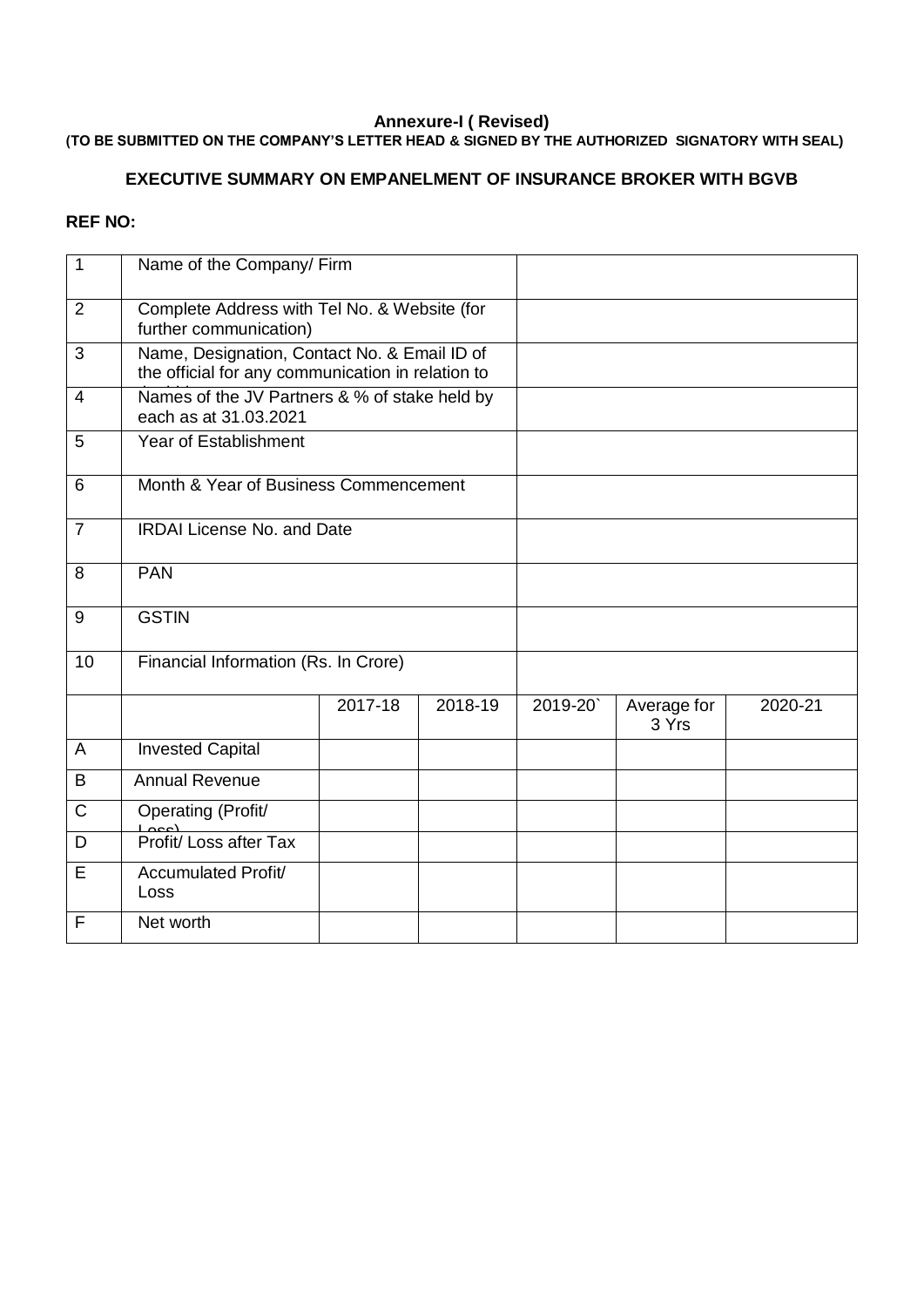#### **Annexure-I ( Revised)**

### **(TO BE SUBMITTED ON THE COMPANY'S LETTER HEAD & SIGNED BY THE AUTHORIZED SIGNATORY WITH SEAL)**

### **EXECUTIVE SUMMARY ON EMPANELMENT OF INSURANCE BROKER WITH BGVB**

#### **REF NO:**

| $\mathbf{1}$   | Name of the Company/ Firm                                                                         |         |         |         |                      |         |
|----------------|---------------------------------------------------------------------------------------------------|---------|---------|---------|----------------------|---------|
| $\overline{2}$ | Complete Address with Tel No. & Website (for<br>further communication)                            |         |         |         |                      |         |
| 3              | Name, Designation, Contact No. & Email ID of<br>the official for any communication in relation to |         |         |         |                      |         |
| $\overline{4}$ | Names of the JV Partners & % of stake held by<br>each as at 31.03.2021                            |         |         |         |                      |         |
| 5              | <b>Year of Establishment</b>                                                                      |         |         |         |                      |         |
| 6              | Month & Year of Business Commencement                                                             |         |         |         |                      |         |
| $\overline{7}$ | <b>IRDAI License No. and Date</b>                                                                 |         |         |         |                      |         |
| 8              | <b>PAN</b>                                                                                        |         |         |         |                      |         |
| 9              | <b>GSTIN</b>                                                                                      |         |         |         |                      |         |
| 10             | Financial Information (Rs. In Crore)                                                              |         |         |         |                      |         |
|                |                                                                                                   | 2017-18 | 2018-19 | 2019-20 | Average for<br>3 Yrs | 2020-21 |
| $\overline{A}$ | <b>Invested Capital</b>                                                                           |         |         |         |                      |         |
| B              | <b>Annual Revenue</b>                                                                             |         |         |         |                      |         |
| $\mathsf{C}$   | Operating (Profit/                                                                                |         |         |         |                      |         |
| D              | Free Contract Profit/ Loss after Tax                                                              |         |         |         |                      |         |
| E              | Accumulated Profit/<br>Loss                                                                       |         |         |         |                      |         |
| F              | Net worth                                                                                         |         |         |         |                      |         |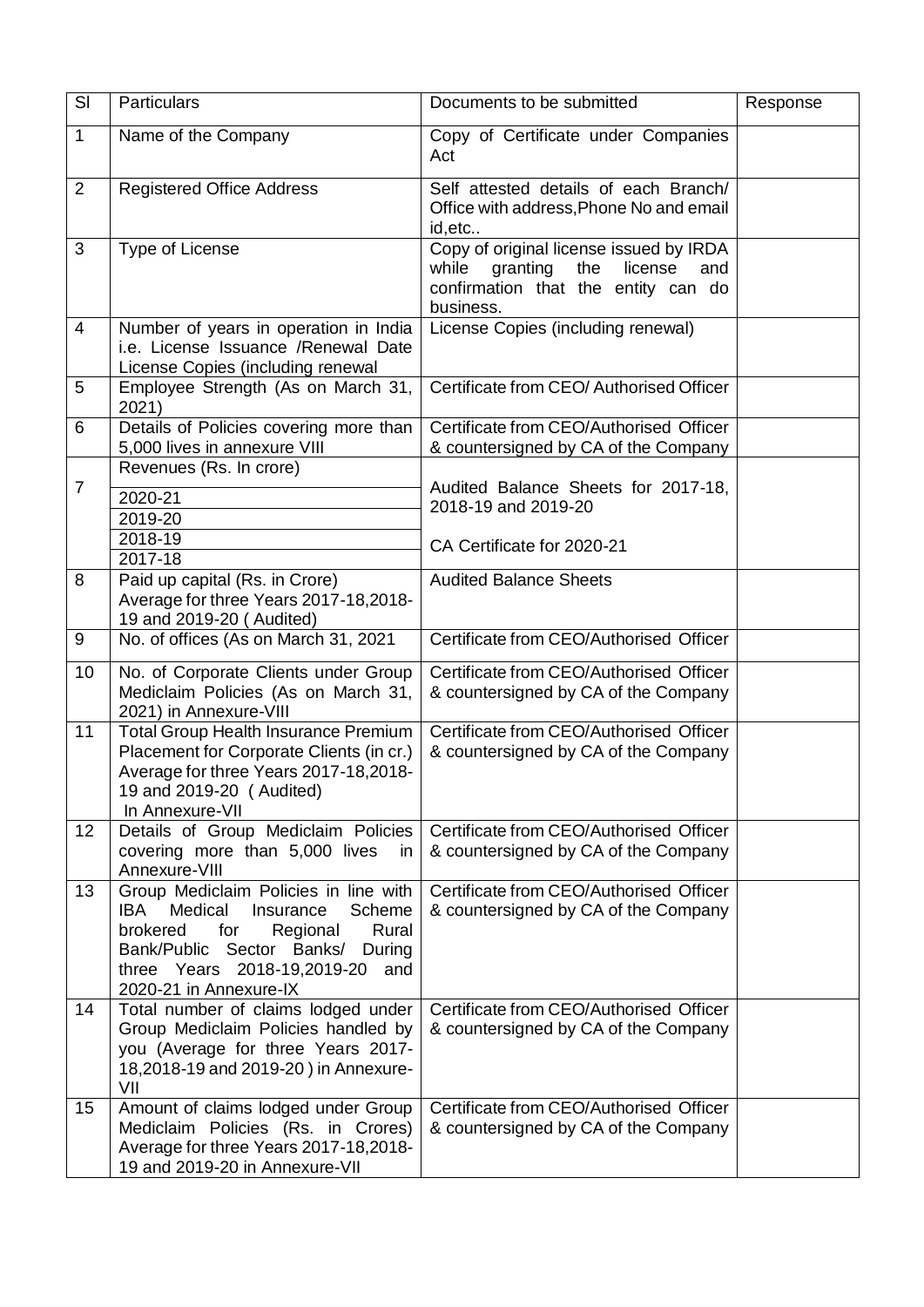| SI             | Particulars                                                                                                                                                                                                                 | Documents to be submitted                                                                                                                 | Response |
|----------------|-----------------------------------------------------------------------------------------------------------------------------------------------------------------------------------------------------------------------------|-------------------------------------------------------------------------------------------------------------------------------------------|----------|
| $\mathbf{1}$   | Name of the Company                                                                                                                                                                                                         | Copy of Certificate under Companies<br>Act                                                                                                |          |
| $\overline{2}$ | <b>Registered Office Address</b>                                                                                                                                                                                            | Self attested details of each Branch/<br>Office with address, Phone No and email<br>id, etc                                               |          |
| 3              | Type of License                                                                                                                                                                                                             | Copy of original license issued by IRDA<br>granting<br>the<br>license<br>while<br>and<br>confirmation that the entity can do<br>business. |          |
| 4              | Number of years in operation in India<br>i.e. License Issuance / Renewal Date<br>License Copies (including renewal                                                                                                          | License Copies (including renewal)                                                                                                        |          |
| 5              | Employee Strength (As on March 31,<br>2021)                                                                                                                                                                                 | Certificate from CEO/ Authorised Officer                                                                                                  |          |
| 6              | Details of Policies covering more than<br>5,000 lives in annexure VIII                                                                                                                                                      | Certificate from CEO/Authorised Officer<br>& countersigned by CA of the Company                                                           |          |
| $\overline{7}$ | Revenues (Rs. In crore)<br>2020-21<br>2019-20<br>2018-19<br>2017-18                                                                                                                                                         | Audited Balance Sheets for 2017-18,<br>2018-19 and 2019-20<br>CA Certificate for 2020-21                                                  |          |
| 8              | Paid up capital (Rs. in Crore)<br>Average for three Years 2017-18,2018-<br>19 and 2019-20 (Audited)                                                                                                                         | <b>Audited Balance Sheets</b>                                                                                                             |          |
| 9              | No. of offices (As on March 31, 2021                                                                                                                                                                                        | Certificate from CEO/Authorised Officer                                                                                                   |          |
| 10             | No. of Corporate Clients under Group<br>Mediclaim Policies (As on March 31,<br>2021) in Annexure-VIII                                                                                                                       | Certificate from CEO/Authorised Officer<br>& countersigned by CA of the Company                                                           |          |
| 11             | <b>Total Group Health Insurance Premium</b><br>Placement for Corporate Clients (in cr.)<br>Average for three Years 2017-18,2018-<br>19 and 2019-20 (Audited)<br>In Annexure-VII                                             | Certificate from CEO/Authorised Officer<br>& countersigned by CA of the Company                                                           |          |
| 12             | Details of Group Mediclaim Policies<br>covering more than 5,000 lives<br><i>in</i><br>Annexure-VIII                                                                                                                         | Certificate from CEO/Authorised Officer<br>& countersigned by CA of the Company                                                           |          |
| 13             | Group Mediclaim Policies in line with<br>IBA.<br>Medical<br>Insurance<br>Scheme<br>Rural<br>brokered<br>for<br>Regional<br>Bank/Public Sector Banks/<br>During<br>three Years 2018-19,2019-20 and<br>2020-21 in Annexure-IX | Certificate from CEO/Authorised Officer<br>& countersigned by CA of the Company                                                           |          |
| 14             | Total number of claims lodged under<br>Group Mediclaim Policies handled by<br>you (Average for three Years 2017-<br>18,2018-19 and 2019-20) in Annexure-<br>VII                                                             | Certificate from CEO/Authorised Officer<br>& countersigned by CA of the Company                                                           |          |
| 15             | Amount of claims lodged under Group<br>Mediclaim Policies (Rs. in Crores)<br>Average for three Years 2017-18,2018-<br>19 and 2019-20 in Annexure-VII                                                                        | Certificate from CEO/Authorised Officer<br>& countersigned by CA of the Company                                                           |          |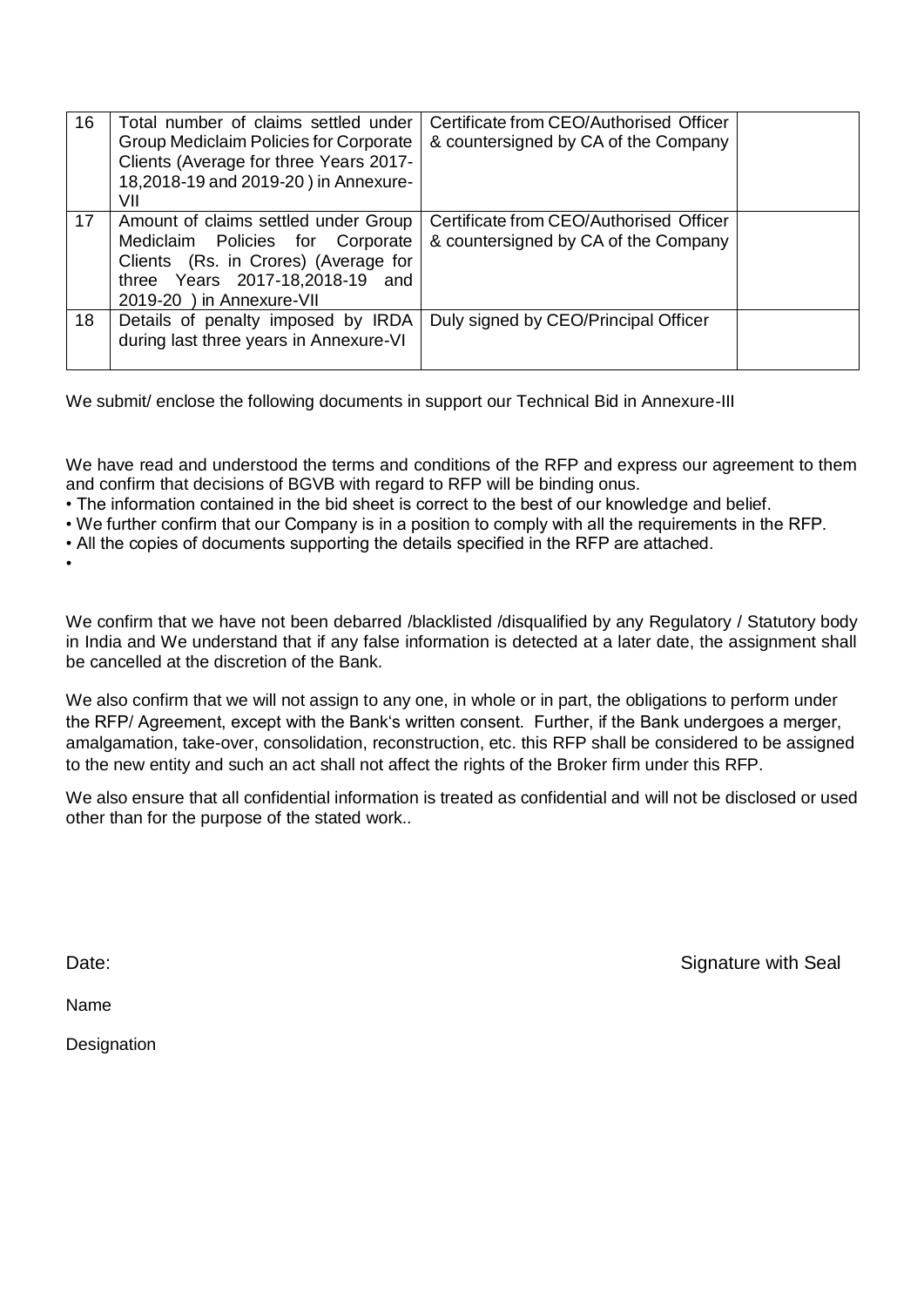| 16 | Total number of claims settled under<br>Group Mediclaim Policies for Corporate<br>Clients (Average for three Years 2017-<br>18,2018-19 and 2019-20) in Annexure-<br>VII          | Certificate from CEO/Authorised Officer<br>& countersigned by CA of the Company |  |
|----|----------------------------------------------------------------------------------------------------------------------------------------------------------------------------------|---------------------------------------------------------------------------------|--|
| 17 | Amount of claims settled under Group<br>Mediclaim Policies for Corporate<br>Clients (Rs. in Crores) (Average for<br>three Years 2017-18,2018-19 and<br>2019-20 ) in Annexure-VII | Certificate from CEO/Authorised Officer<br>& countersigned by CA of the Company |  |
| 18 | Details of penalty imposed by IRDA<br>during last three years in Annexure-VI                                                                                                     | Duly signed by CEO/Principal Officer                                            |  |

We submit/ enclose the following documents in support our Technical Bid in Annexure-III

We have read and understood the terms and conditions of the RFP and express our agreement to them and confirm that decisions of BGVB with regard to RFP will be binding onus.

• The information contained in the bid sheet is correct to the best of our knowledge and belief.

• We further confirm that our Company is in a position to comply with all the requirements in the RFP.

• All the copies of documents supporting the details specified in the RFP are attached.

•

We confirm that we have not been debarred /blacklisted /disqualified by any Regulatory / Statutory body in India and We understand that if any false information is detected at a later date, the assignment shall be cancelled at the discretion of the Bank.

We also confirm that we will not assign to any one, in whole or in part, the obligations to perform under the RFP/ Agreement, except with the Bank's written consent. Further, if the Bank undergoes a merger, amalgamation, take-over, consolidation, reconstruction, etc. this RFP shall be considered to be assigned to the new entity and such an act shall not affect the rights of the Broker firm under this RFP.

We also ensure that all confidential information is treated as confidential and will not be disclosed or used other than for the purpose of the stated work..

Date: Signature with Seal

Name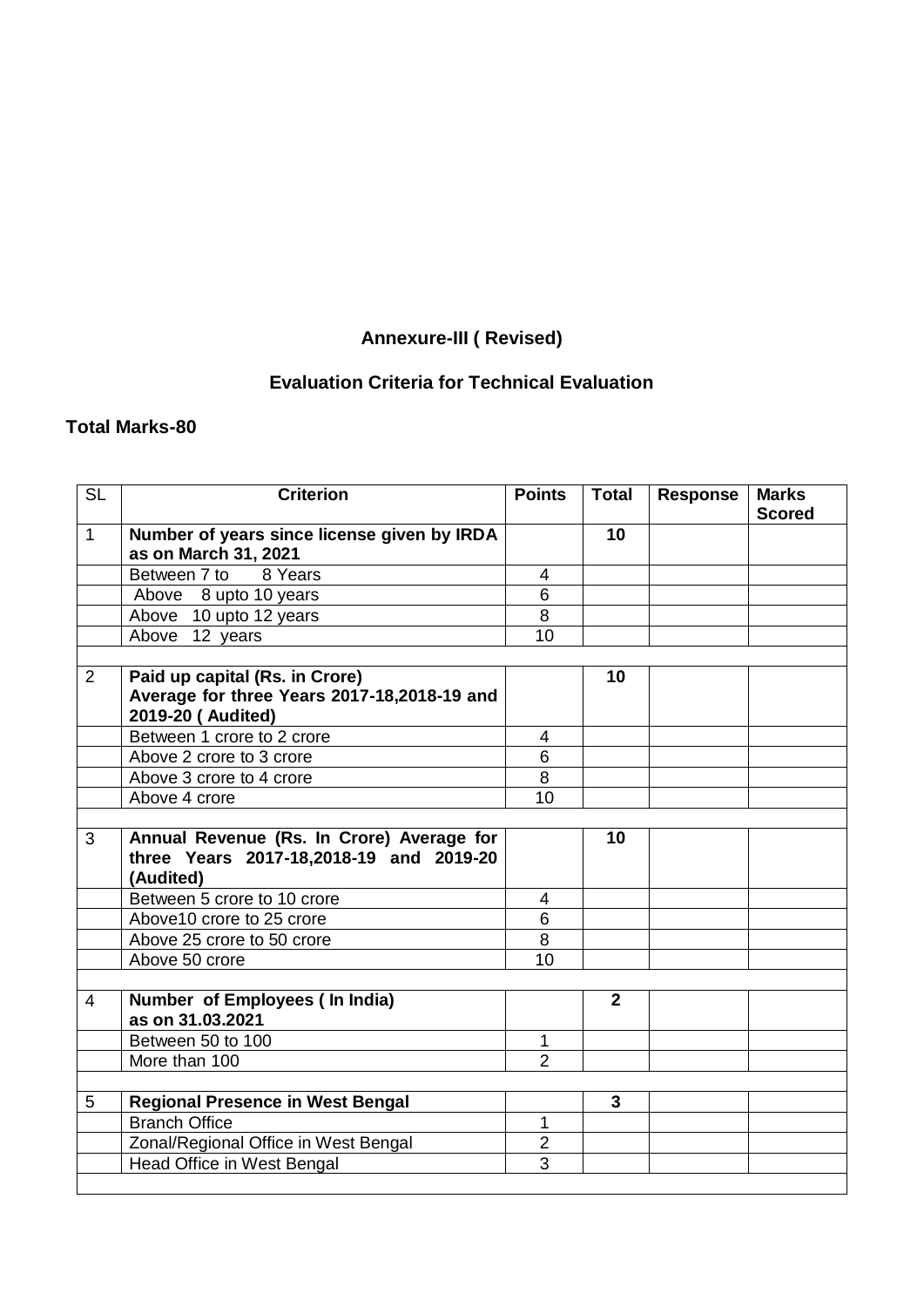# **Annexure-III ( Revised)**

# **Evaluation Criteria for Technical Evaluation**

# **Total Marks-80**

| <b>SL</b>      | <b>Criterion</b>                                                    | <b>Points</b>  | <b>Total</b>   | <b>Response</b> | <b>Marks</b>  |
|----------------|---------------------------------------------------------------------|----------------|----------------|-----------------|---------------|
|                |                                                                     |                |                |                 | <b>Scored</b> |
| $\mathbf{1}$   | Number of years since license given by IRDA<br>as on March 31, 2021 |                | 10             |                 |               |
|                | Between 7 to 8 Years                                                | 4              |                |                 |               |
|                | Above 8 upto 10 years                                               | 6              |                |                 |               |
|                | Above 10 upto 12 years                                              | 8              |                |                 |               |
|                | Above 12 years                                                      | 10             |                |                 |               |
|                |                                                                     |                |                |                 |               |
| $\overline{2}$ | Paid up capital (Rs. in Crore)                                      |                | 10             |                 |               |
|                | Average for three Years 2017-18,2018-19 and                         |                |                |                 |               |
|                | 2019-20 (Audited)                                                   |                |                |                 |               |
|                | Between 1 crore to 2 crore                                          | 4              |                |                 |               |
|                | Above 2 crore to 3 crore                                            | 6              |                |                 |               |
|                | Above 3 crore to 4 crore                                            | 8              |                |                 |               |
|                | Above 4 crore                                                       | 10             |                |                 |               |
|                |                                                                     |                |                |                 |               |
| $\overline{3}$ | Annual Revenue (Rs. In Crore) Average for                           |                | 10             |                 |               |
|                | three Years 2017-18,2018-19 and 2019-20                             |                |                |                 |               |
|                | (Audited)                                                           |                |                |                 |               |
|                | Between 5 crore to 10 crore                                         | 4              |                |                 |               |
|                | Above 10 crore to 25 crore                                          | 6              |                |                 |               |
|                | Above 25 crore to 50 crore                                          | $\overline{8}$ |                |                 |               |
|                | Above 50 crore                                                      | 10             |                |                 |               |
|                |                                                                     |                |                |                 |               |
| $\overline{4}$ | Number of Employees (In India)<br>as on 31.03.2021                  |                | $\overline{2}$ |                 |               |
|                | Between 50 to 100                                                   | $\mathbf{1}$   |                |                 |               |
|                | More than 100                                                       | $\overline{2}$ |                |                 |               |
|                |                                                                     |                |                |                 |               |
| 5              | <b>Regional Presence in West Bengal</b>                             |                | 3              |                 |               |
|                | <b>Branch Office</b>                                                | 1              |                |                 |               |
|                | Zonal/Regional Office in West Bengal                                | $\overline{2}$ |                |                 |               |
|                | <b>Head Office in West Bengal</b>                                   | $\overline{3}$ |                |                 |               |
|                |                                                                     |                |                |                 |               |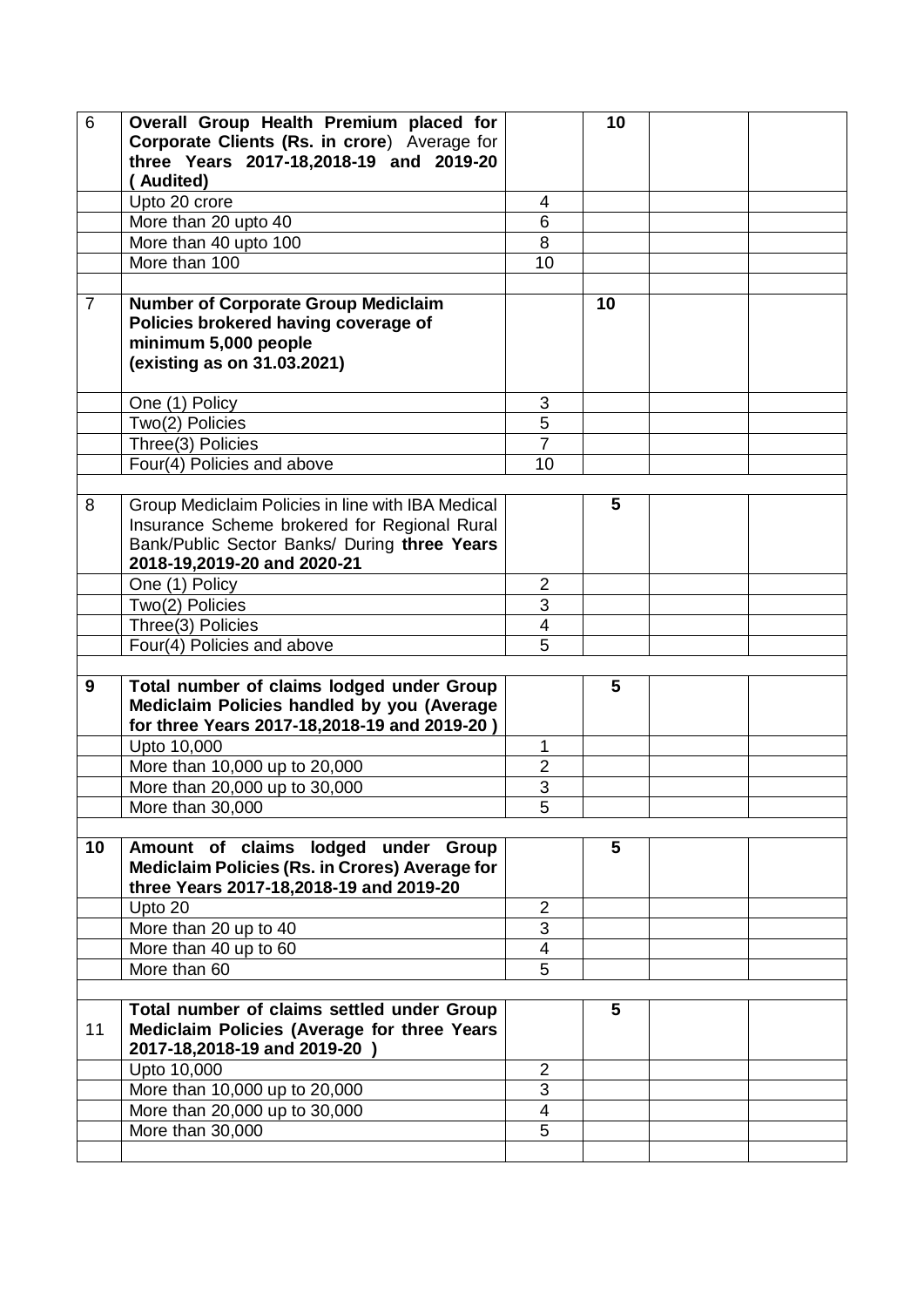| 6              | Overall Group Health Premium placed for<br>Corporate Clients (Rs. in crore) Average for<br>three Years 2017-18,2018-19 and 2019-20<br>(Audited)                                  |                          | 10 |  |
|----------------|----------------------------------------------------------------------------------------------------------------------------------------------------------------------------------|--------------------------|----|--|
|                | Upto 20 crore                                                                                                                                                                    | 4                        |    |  |
|                | More than 20 upto 40                                                                                                                                                             | 6                        |    |  |
|                | More than 40 upto 100                                                                                                                                                            | 8                        |    |  |
|                | More than 100                                                                                                                                                                    | 10                       |    |  |
|                |                                                                                                                                                                                  |                          |    |  |
| $\overline{7}$ | <b>Number of Corporate Group Mediclaim</b><br>Policies brokered having coverage of<br>minimum 5,000 people<br>(existing as on 31.03.2021)                                        |                          | 10 |  |
|                | One (1) Policy                                                                                                                                                                   | 3                        |    |  |
|                | Two(2) Policies                                                                                                                                                                  | 5                        |    |  |
|                | Three(3) Policies                                                                                                                                                                | $\overline{7}$           |    |  |
|                | Four(4) Policies and above                                                                                                                                                       | 10                       |    |  |
|                |                                                                                                                                                                                  |                          |    |  |
| 8              | Group Mediclaim Policies in line with IBA Medical<br>Insurance Scheme brokered for Regional Rural<br>Bank/Public Sector Banks/ During three Years<br>2018-19,2019-20 and 2020-21 |                          | 5  |  |
|                | One (1) Policy                                                                                                                                                                   | $\overline{2}$           |    |  |
|                | Two(2) Policies                                                                                                                                                                  | $\overline{3}$           |    |  |
|                | Three(3) Policies                                                                                                                                                                | 4                        |    |  |
|                | Four(4) Policies and above                                                                                                                                                       | $\overline{5}$           |    |  |
|                |                                                                                                                                                                                  |                          |    |  |
| 9              | Total number of claims lodged under Group<br>Mediclaim Policies handled by you (Average<br>for three Years 2017-18,2018-19 and 2019-20)                                          |                          | 5  |  |
|                | Upto 10,000                                                                                                                                                                      | 1                        |    |  |
|                | More than 10,000 up to 20,000                                                                                                                                                    | $\overline{2}$           |    |  |
|                | More than 20,000 up to 30,000                                                                                                                                                    | $\overline{3}$           |    |  |
|                | More than 30,000                                                                                                                                                                 | $\overline{5}$           |    |  |
|                |                                                                                                                                                                                  |                          |    |  |
| 10             | Amount of claims lodged<br>under Group<br>Mediclaim Policies (Rs. in Crores) Average for<br>three Years 2017-18,2018-19 and 2019-20                                              |                          | 5  |  |
|                | Upto 20                                                                                                                                                                          | $\overline{2}$           |    |  |
|                | More than 20 up to 40                                                                                                                                                            | 3                        |    |  |
|                | More than 40 up to 60                                                                                                                                                            | $\overline{\mathcal{A}}$ |    |  |
|                | More than 60                                                                                                                                                                     | $\overline{5}$           |    |  |
| 11             | Total number of claims settled under Group<br>Mediclaim Policies (Average for three Years<br>2017-18,2018-19 and 2019-20 )                                                       |                          | 5  |  |
|                | Upto 10,000                                                                                                                                                                      | $\overline{2}$           |    |  |
|                | More than 10,000 up to 20,000                                                                                                                                                    | $\overline{3}$           |    |  |
|                | More than 20,000 up to 30,000                                                                                                                                                    | $\overline{4}$           |    |  |
|                | More than 30,000                                                                                                                                                                 | 5                        |    |  |
|                |                                                                                                                                                                                  |                          |    |  |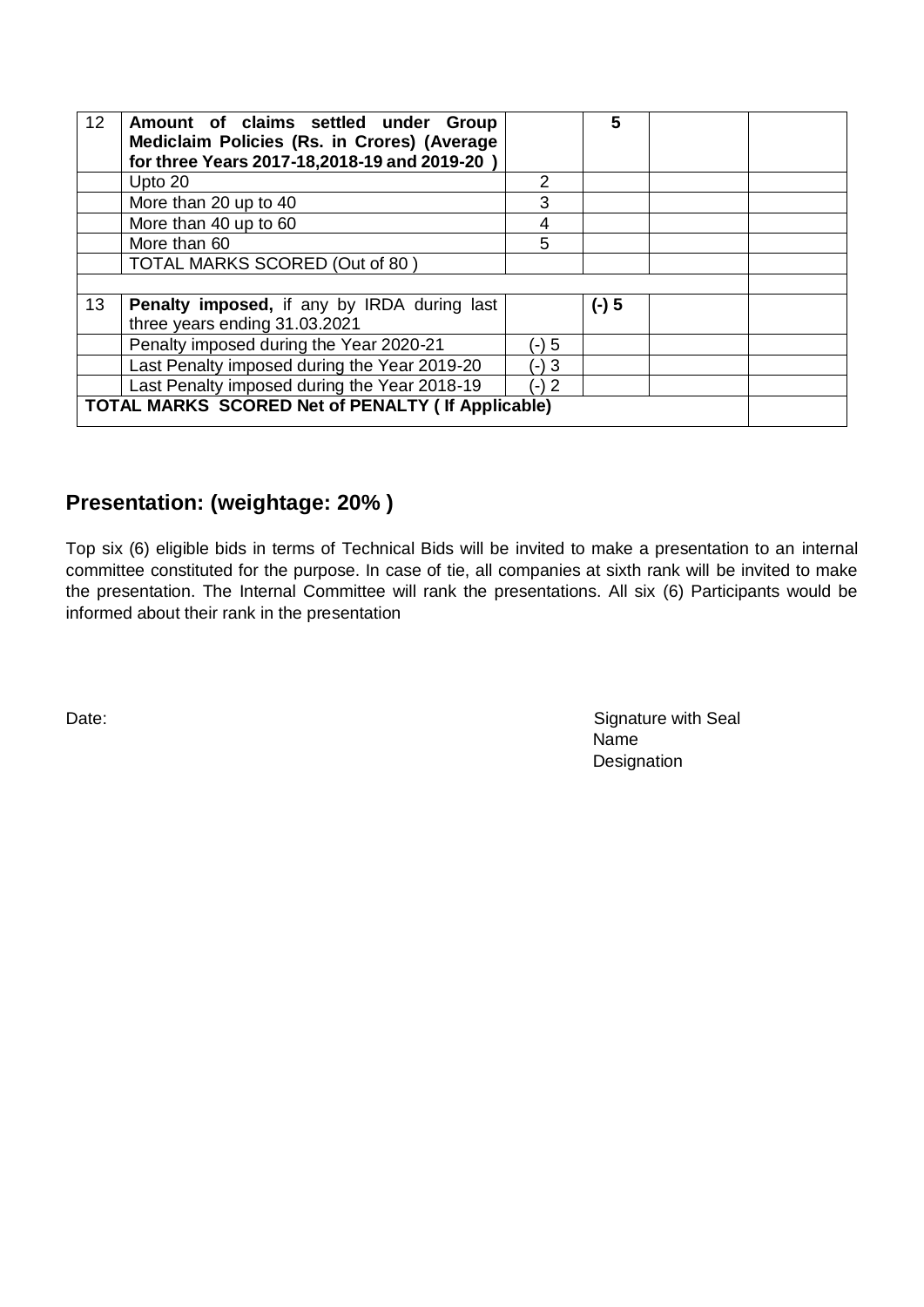| 12 | Amount of claims settled under Group<br>Mediclaim Policies (Rs. in Crores) (Average<br>for three Years 2017-18,2018-19 and 2019-20 |               | 5       |  |
|----|------------------------------------------------------------------------------------------------------------------------------------|---------------|---------|--|
|    | Upto 20                                                                                                                            | $\mathcal{P}$ |         |  |
|    | More than 20 up to 40                                                                                                              | 3             |         |  |
|    | More than 40 up to 60                                                                                                              | 4             |         |  |
|    | More than 60                                                                                                                       | 5             |         |  |
|    | TOTAL MARKS SCORED (Out of 80)                                                                                                     |               |         |  |
|    |                                                                                                                                    |               |         |  |
| 13 | <b>Penalty imposed, if any by IRDA during last</b><br>three years ending 31.03.2021                                                |               | $(-)$ 5 |  |
|    | Penalty imposed during the Year 2020-21                                                                                            | (-) 5         |         |  |
|    | Last Penalty imposed during the Year 2019-20                                                                                       | $(-)3$        |         |  |
|    | Last Penalty imposed during the Year 2018-19                                                                                       | (-) 2         |         |  |
|    | <b>TOTAL MARKS SCORED Net of PENALTY ( If Applicable)</b>                                                                          |               |         |  |

# **Presentation: (weightage: 20% )**

Top six (6) eligible bids in terms of Technical Bids will be invited to make a presentation to an internal committee constituted for the purpose. In case of tie, all companies at sixth rank will be invited to make the presentation. The Internal Committee will rank the presentations. All six (6) Participants would be informed about their rank in the presentation

Date: Signature with Seal name in the contract of the contract of the contract of the contract of the contract of the contract of the contract of the contract of the contract of the contract of the contract of the contract of the contract of the co **Designation**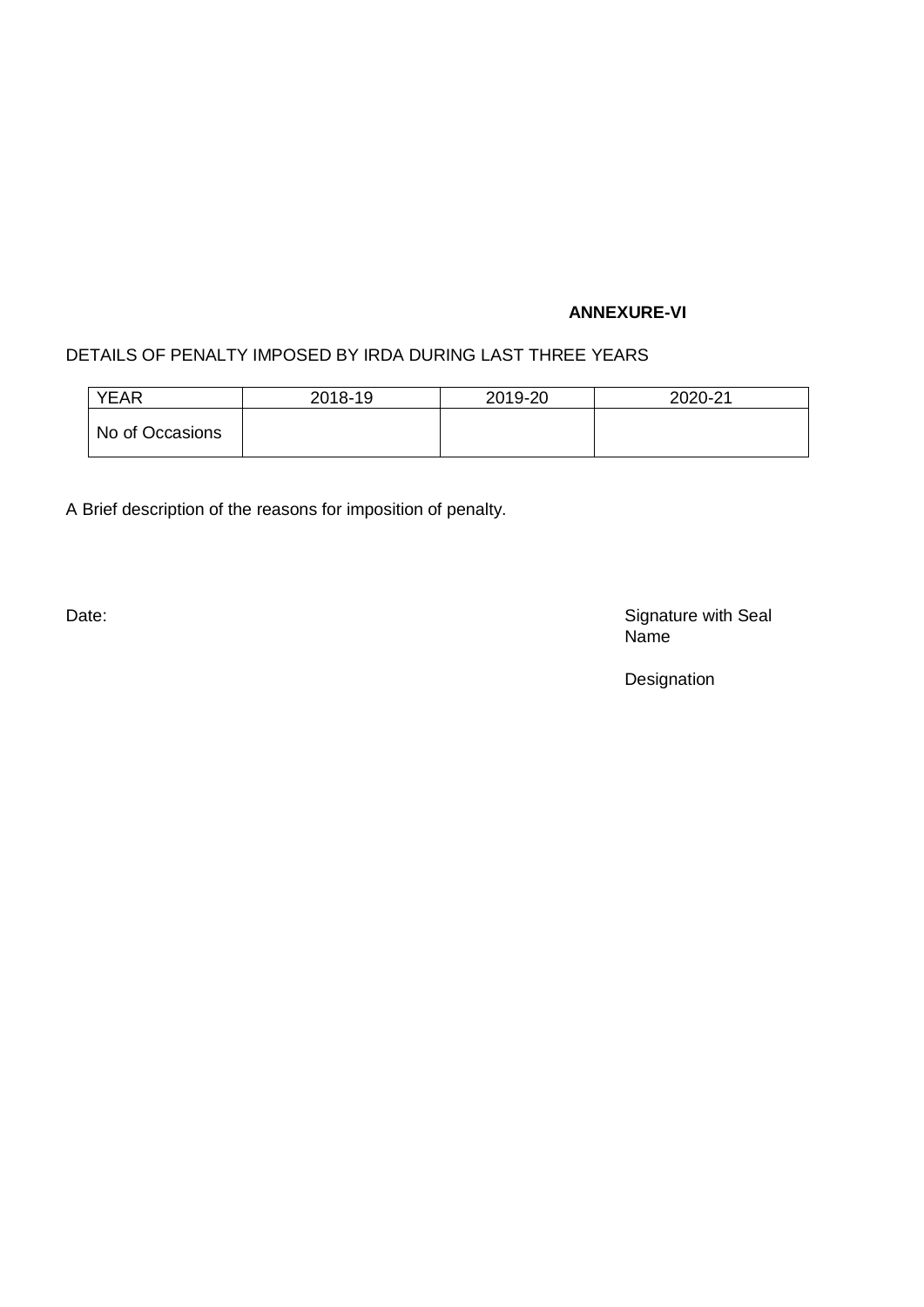### **ANNEXURE-VI**

# DETAILS OF PENALTY IMPOSED BY IRDA DURING LAST THREE YEARS

| <b>YEAR</b>     | 2018-19 | 2019-20 | 2020-21 |
|-----------------|---------|---------|---------|
| No of Occasions |         |         |         |

A Brief description of the reasons for imposition of penalty.

Date: Signature with Seal Name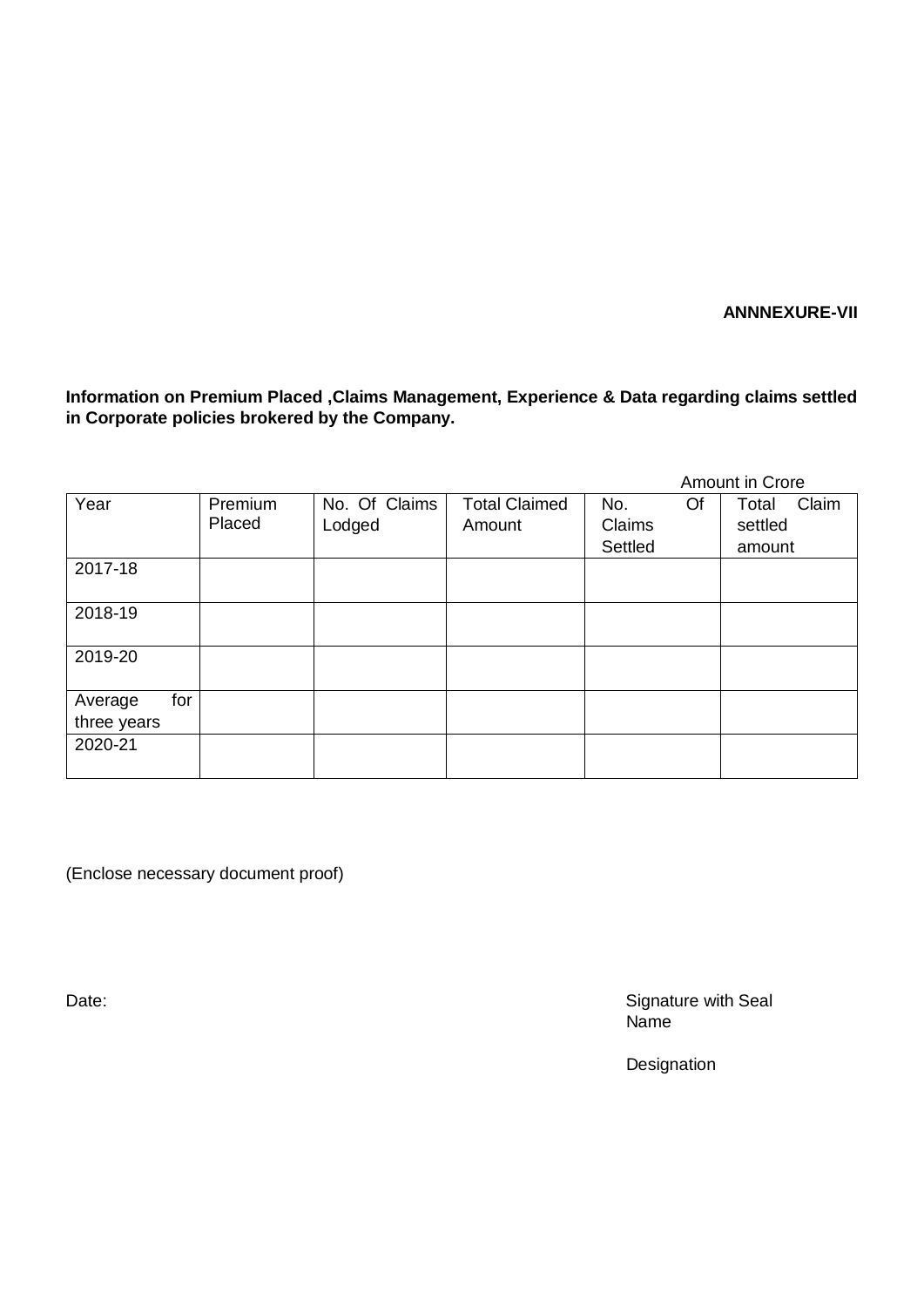**ANNNEXURE-VII**

**Information on Premium Placed ,Claims Management, Experience & Data regarding claims settled in Corporate policies brokered by the Company.**

|                |                   |                         |                                |                                | Amount in Crore                     |
|----------------|-------------------|-------------------------|--------------------------------|--------------------------------|-------------------------------------|
| Year           | Premium<br>Placed | No. Of Claims<br>Lodged | <b>Total Claimed</b><br>Amount | Of<br>No.<br>Claims<br>Settled | Claim<br>Total<br>settled<br>amount |
| 2017-18        |                   |                         |                                |                                |                                     |
| 2018-19        |                   |                         |                                |                                |                                     |
| 2019-20        |                   |                         |                                |                                |                                     |
| for<br>Average |                   |                         |                                |                                |                                     |
| three years    |                   |                         |                                |                                |                                     |
| 2020-21        |                   |                         |                                |                                |                                     |

(Enclose necessary document proof)

Date: Signature with Seal name in the contract of the contract of the contract of the contract of the contract of the contract of the contract of the contract of the contract of the contract of the contract of the contract of the contract of the co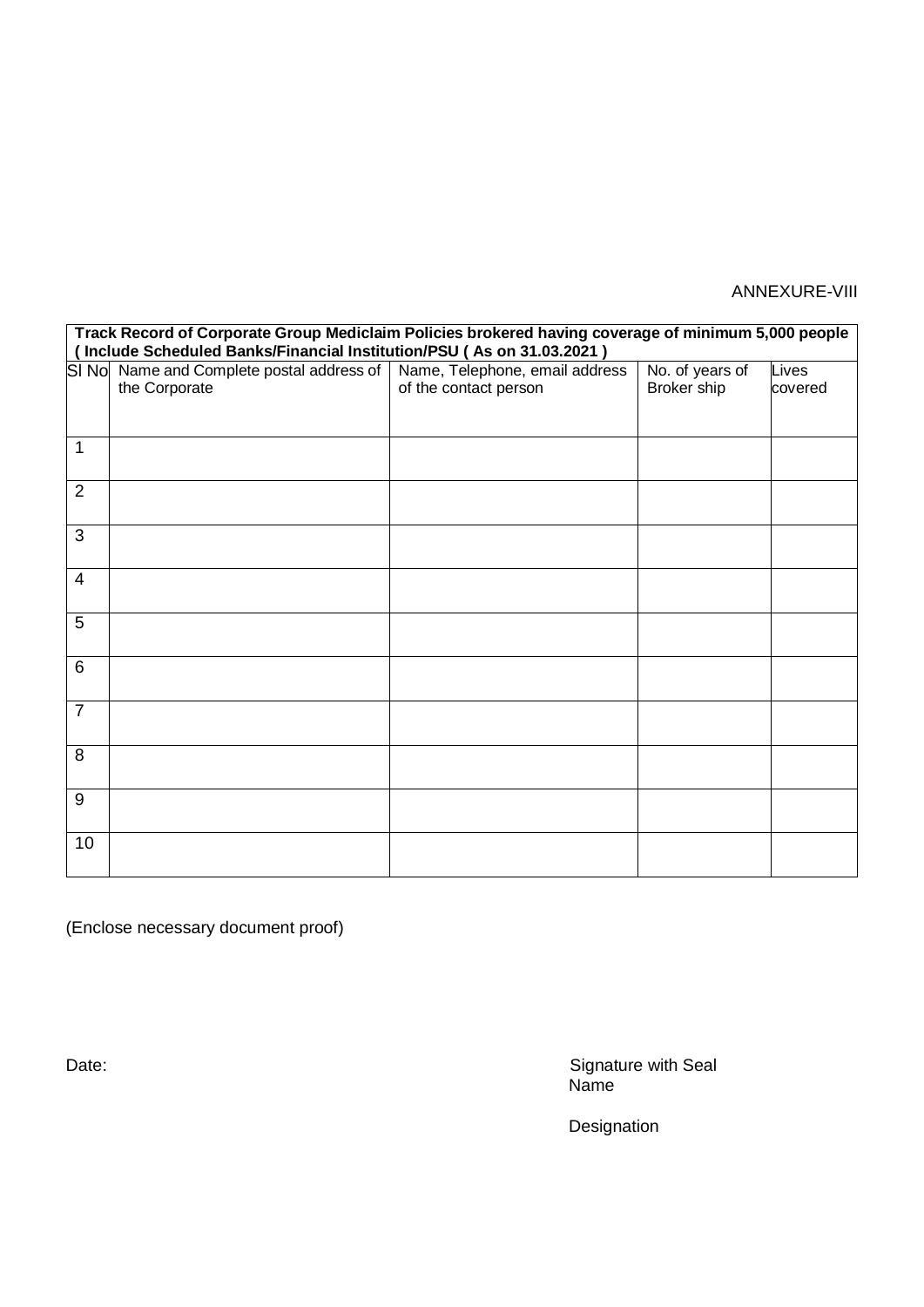# ANNEXURE-VIII

| Track Record of Corporate Group Mediclaim Policies brokered having coverage of minimum 5,000 people |                                                                      |                                |                 |         |  |  |  |
|-----------------------------------------------------------------------------------------------------|----------------------------------------------------------------------|--------------------------------|-----------------|---------|--|--|--|
|                                                                                                     | Include Scheduled Banks/Financial Institution/PSU (As on 31.03.2021) |                                |                 |         |  |  |  |
| SI No                                                                                               | Name and Complete postal address of                                  | Name, Telephone, email address | No. of years of | Lives   |  |  |  |
|                                                                                                     | the Corporate                                                        | of the contact person          | Broker ship     | covered |  |  |  |
|                                                                                                     |                                                                      |                                |                 |         |  |  |  |
|                                                                                                     |                                                                      |                                |                 |         |  |  |  |
| 1                                                                                                   |                                                                      |                                |                 |         |  |  |  |
|                                                                                                     |                                                                      |                                |                 |         |  |  |  |
|                                                                                                     |                                                                      |                                |                 |         |  |  |  |
| $\overline{2}$                                                                                      |                                                                      |                                |                 |         |  |  |  |
|                                                                                                     |                                                                      |                                |                 |         |  |  |  |
| 3                                                                                                   |                                                                      |                                |                 |         |  |  |  |
|                                                                                                     |                                                                      |                                |                 |         |  |  |  |
| 4                                                                                                   |                                                                      |                                |                 |         |  |  |  |
|                                                                                                     |                                                                      |                                |                 |         |  |  |  |
|                                                                                                     |                                                                      |                                |                 |         |  |  |  |
| 5                                                                                                   |                                                                      |                                |                 |         |  |  |  |
|                                                                                                     |                                                                      |                                |                 |         |  |  |  |
| 6                                                                                                   |                                                                      |                                |                 |         |  |  |  |
|                                                                                                     |                                                                      |                                |                 |         |  |  |  |
| $\overline{7}$                                                                                      |                                                                      |                                |                 |         |  |  |  |
|                                                                                                     |                                                                      |                                |                 |         |  |  |  |
|                                                                                                     |                                                                      |                                |                 |         |  |  |  |
| 8                                                                                                   |                                                                      |                                |                 |         |  |  |  |
|                                                                                                     |                                                                      |                                |                 |         |  |  |  |
| 9                                                                                                   |                                                                      |                                |                 |         |  |  |  |
|                                                                                                     |                                                                      |                                |                 |         |  |  |  |
|                                                                                                     |                                                                      |                                |                 |         |  |  |  |
| 10                                                                                                  |                                                                      |                                |                 |         |  |  |  |
|                                                                                                     |                                                                      |                                |                 |         |  |  |  |

(Enclose necessary document proof)

Date: Signature with Seal Name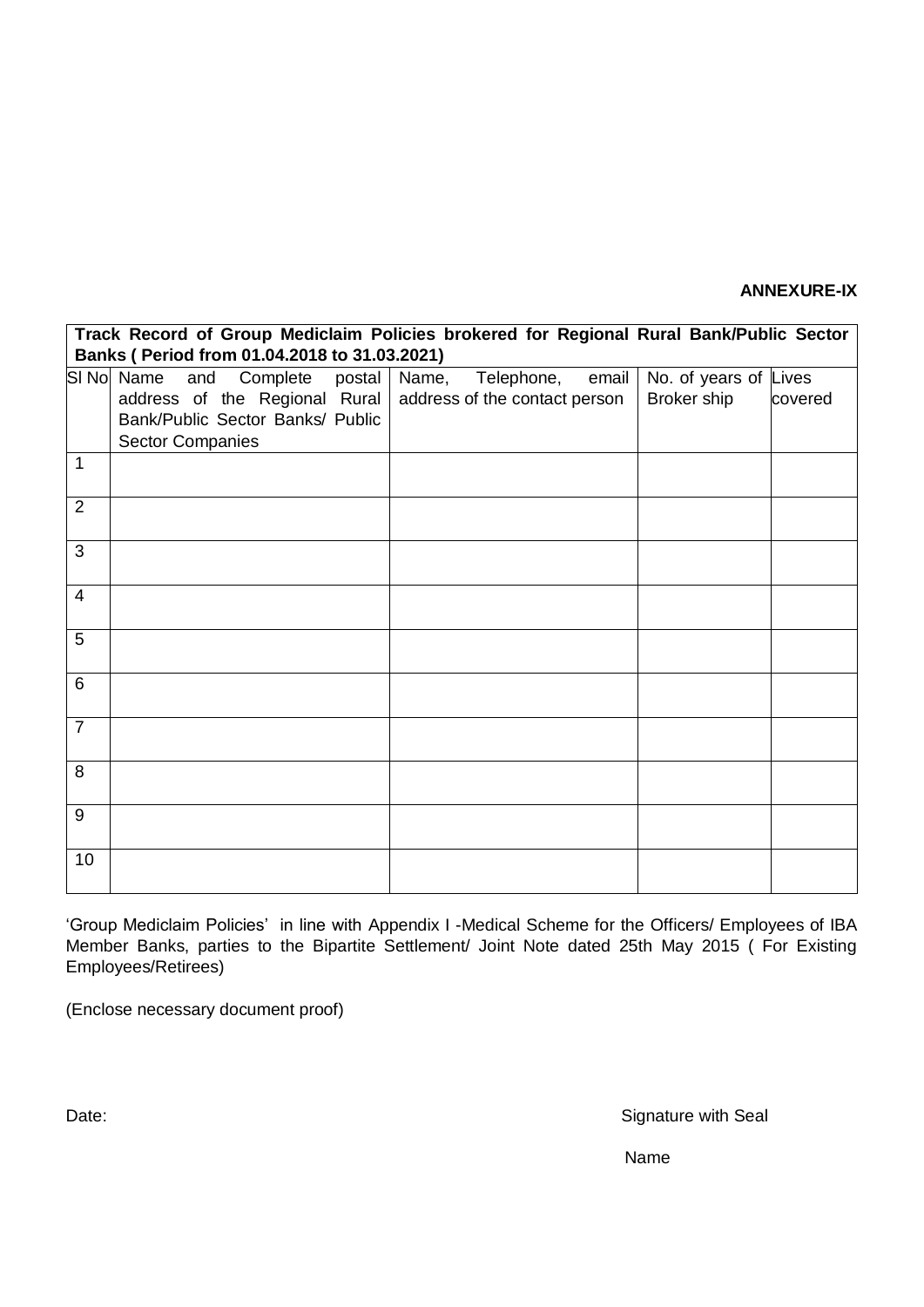### **ANNEXURE-IX**

|                | Track Record of Group Mediclaim Policies brokered for Regional Rural Bank/Public Sector<br>Banks ( Period from 01.04.2018 to 31.03.2021) |     |          |        |       |                               |       |                       |         |
|----------------|------------------------------------------------------------------------------------------------------------------------------------------|-----|----------|--------|-------|-------------------------------|-------|-----------------------|---------|
|                | SI No Name                                                                                                                               | and | Complete | postal | Name, | Telephone,                    | email | No. of years of Lives |         |
|                | address of the Regional Rural                                                                                                            |     |          |        |       | address of the contact person |       | Broker ship           | covered |
|                | Bank/Public Sector Banks/ Public                                                                                                         |     |          |        |       |                               |       |                       |         |
| 1              | <b>Sector Companies</b>                                                                                                                  |     |          |        |       |                               |       |                       |         |
|                |                                                                                                                                          |     |          |        |       |                               |       |                       |         |
| $\overline{2}$ |                                                                                                                                          |     |          |        |       |                               |       |                       |         |
| 3              |                                                                                                                                          |     |          |        |       |                               |       |                       |         |
| $\overline{4}$ |                                                                                                                                          |     |          |        |       |                               |       |                       |         |
| 5              |                                                                                                                                          |     |          |        |       |                               |       |                       |         |
| 6              |                                                                                                                                          |     |          |        |       |                               |       |                       |         |
| $\overline{7}$ |                                                                                                                                          |     |          |        |       |                               |       |                       |         |
| 8              |                                                                                                                                          |     |          |        |       |                               |       |                       |         |
| 9              |                                                                                                                                          |     |          |        |       |                               |       |                       |         |
| 10             |                                                                                                                                          |     |          |        |       |                               |       |                       |         |

'Group Mediclaim Policies' in line with Appendix I -Medical Scheme for the Officers/ Employees of IBA Member Banks, parties to the Bipartite Settlement/ Joint Note dated 25th May 2015 ( For Existing Employees/Retirees)

(Enclose necessary document proof)

Date: Signature with Seal

Name